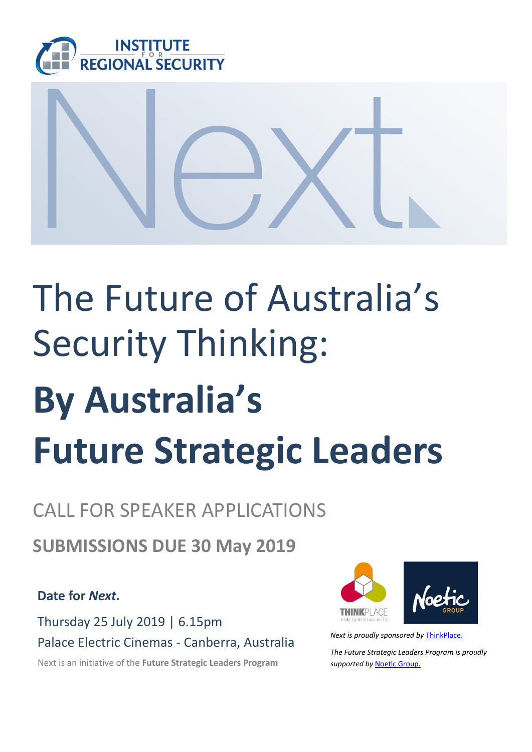



## The Future of Australia's Security Thinking:

# **By Australia's Future Strategic Leaders**

### CALL FOR SPEAKER APPLICATIONS

**SUBMISSIONS DUE 30 May 2019**

**Date for** *Next.*

Thursday 25 July 2019 | 6.15pm Palace Electric Cinemas - Canberra, Australia *Next is proudly sponsored by* [ThinkPlace.](https://www.thinkplaceglobal.com/)

Next is an initiative of the **Future Strategic Leaders Program** *supported by* [Noetic Group.](https://noeticgroup.com/)



*The Future Strategic Leaders Program is proudly*